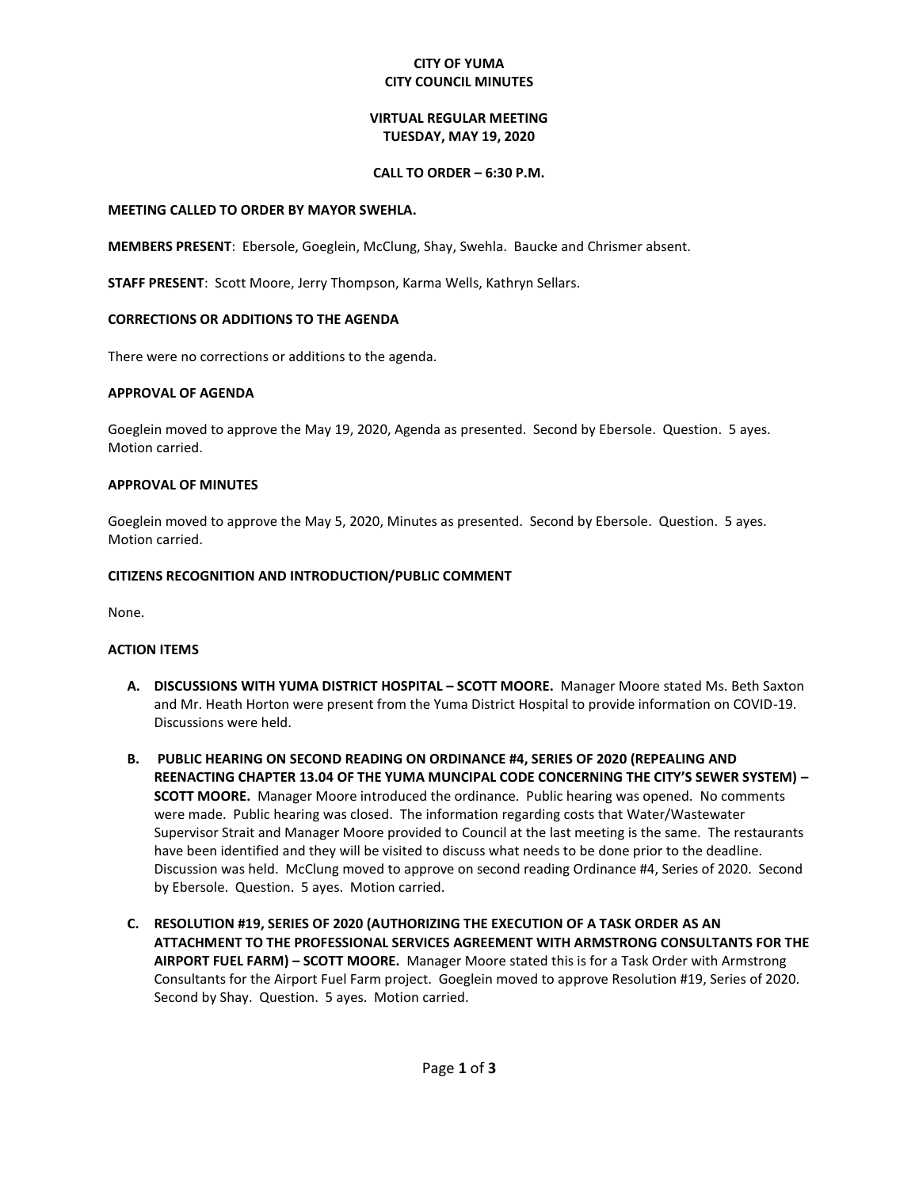## **CITY OF YUMA CITY COUNCIL MINUTES**

# **VIRTUAL REGULAR MEETING TUESDAY, MAY 19, 2020**

## **CALL TO ORDER – 6:30 P.M.**

#### **MEETING CALLED TO ORDER BY MAYOR SWEHLA.**

**MEMBERS PRESENT**: Ebersole, Goeglein, McClung, Shay, Swehla. Baucke and Chrismer absent.

**STAFF PRESENT**: Scott Moore, Jerry Thompson, Karma Wells, Kathryn Sellars.

## **CORRECTIONS OR ADDITIONS TO THE AGENDA**

There were no corrections or additions to the agenda.

## **APPROVAL OF AGENDA**

Goeglein moved to approve the May 19, 2020, Agenda as presented. Second by Ebersole. Question. 5 ayes. Motion carried.

#### **APPROVAL OF MINUTES**

Goeglein moved to approve the May 5, 2020, Minutes as presented. Second by Ebersole. Question. 5 ayes. Motion carried.

#### **CITIZENS RECOGNITION AND INTRODUCTION/PUBLIC COMMENT**

None.

## **ACTION ITEMS**

- **A. DISCUSSIONS WITH YUMA DISTRICT HOSPITAL – SCOTT MOORE.** Manager Moore stated Ms. Beth Saxton and Mr. Heath Horton were present from the Yuma District Hospital to provide information on COVID-19. Discussions were held.
- **B. PUBLIC HEARING ON SECOND READING ON ORDINANCE #4, SERIES OF 2020 (REPEALING AND REENACTING CHAPTER 13.04 OF THE YUMA MUNCIPAL CODE CONCERNING THE CITY'S SEWER SYSTEM) – SCOTT MOORE.** Manager Moore introduced the ordinance. Public hearing was opened. No comments were made. Public hearing was closed. The information regarding costs that Water/Wastewater Supervisor Strait and Manager Moore provided to Council at the last meeting is the same. The restaurants have been identified and they will be visited to discuss what needs to be done prior to the deadline. Discussion was held. McClung moved to approve on second reading Ordinance #4, Series of 2020. Second by Ebersole. Question. 5 ayes. Motion carried.
- **C. RESOLUTION #19, SERIES OF 2020 (AUTHORIZING THE EXECUTION OF A TASK ORDER AS AN ATTACHMENT TO THE PROFESSIONAL SERVICES AGREEMENT WITH ARMSTRONG CONSULTANTS FOR THE AIRPORT FUEL FARM) – SCOTT MOORE.** Manager Moore stated this is for a Task Order with Armstrong Consultants for the Airport Fuel Farm project. Goeglein moved to approve Resolution #19, Series of 2020. Second by Shay. Question. 5 ayes. Motion carried.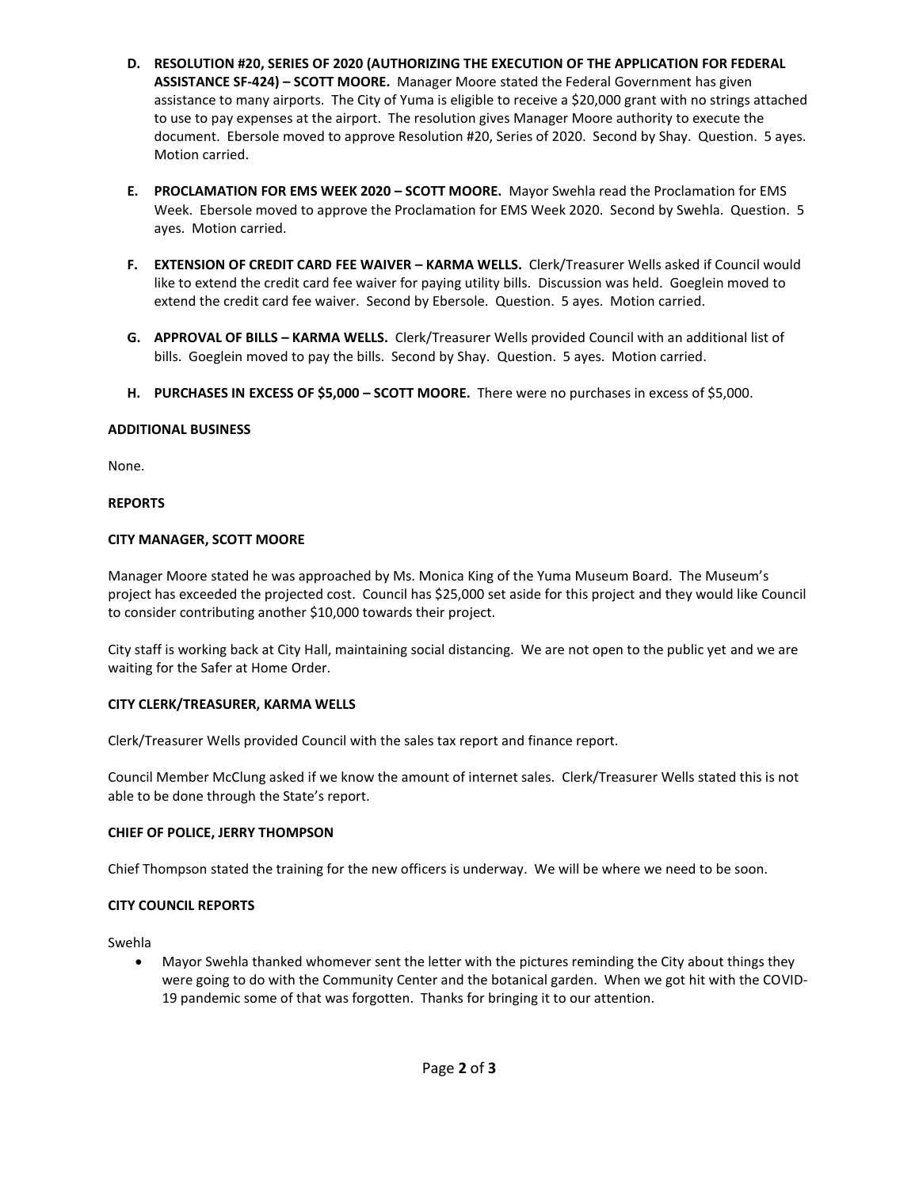- **D. RESOLUTION #20, SERIES OF 2020 (AUTHORIZING THE EXECUTION OF THE APPLICATION FOR FEDERAL ASSISTANCE SF-424) – SCOTT MOORE.** Manager Moore stated the Federal Government has given assistance to many airports. The City of Yuma is eligible to receive a \$20,000 grant with no strings attached to use to pay expenses at the airport. The resolution gives Manager Moore authority to execute the document. Ebersole moved to approve Resolution #20, Series of 2020. Second by Shay. Question. 5 ayes. Motion carried.
- **E. PROCLAMATION FOR EMS WEEK 2020 – SCOTT MOORE.** Mayor Swehla read the Proclamation for EMS Week. Ebersole moved to approve the Proclamation for EMS Week 2020. Second by Swehla. Question. 5 ayes. Motion carried.
- **F. EXTENSION OF CREDIT CARD FEE WAIVER – KARMA WELLS.** Clerk/Treasurer Wells asked if Council would like to extend the credit card fee waiver for paying utility bills. Discussion was held. Goeglein moved to extend the credit card fee waiver. Second by Ebersole. Question. 5 ayes. Motion carried.
- **G. APPROVAL OF BILLS – KARMA WELLS.** Clerk/Treasurer Wells provided Council with an additional list of bills. Goeglein moved to pay the bills. Second by Shay. Question. 5 ayes. Motion carried.
- **H. PURCHASES IN EXCESS OF \$5,000 – SCOTT MOORE.** There were no purchases in excess of \$5,000.

## **ADDITIONAL BUSINESS**

None.

## **REPORTS**

## **CITY MANAGER, SCOTT MOORE**

Manager Moore stated he was approached by Ms. Monica King of the Yuma Museum Board. The Museum's project has exceeded the projected cost. Council has \$25,000 set aside for this project and they would like Council to consider contributing another \$10,000 towards their project.

City staff is working back at City Hall, maintaining social distancing. We are not open to the public yet and we are waiting for the Safer at Home Order.

## **CITY CLERK/TREASURER, KARMA WELLS**

Clerk/Treasurer Wells provided Council with the sales tax report and finance report.

Council Member McClung asked if we know the amount of internet sales. Clerk/Treasurer Wells stated this is not able to be done through the State's report.

## **CHIEF OF POLICE, JERRY THOMPSON**

Chief Thompson stated the training for the new officers is underway. We will be where we need to be soon.

## **CITY COUNCIL REPORTS**

Swehla

 Mayor Swehla thanked whomever sent the letter with the pictures reminding the City about things they were going to do with the Community Center and the botanical garden. When we got hit with the COVID-19 pandemic some of that was forgotten. Thanks for bringing it to our attention.